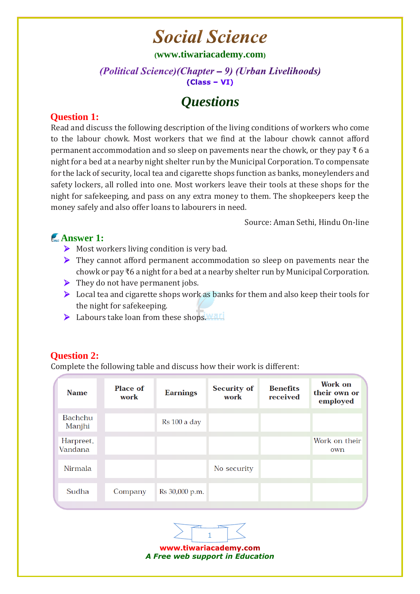# **Social Science**

#### **([www.tiwariacademy.com](http://www.tiwariacademy.com/))**

#### (Political Science) (Chapter - 9) (Urban Livelihoods)  $(Class - VI)$

# *Questions*

#### **Question 1:**

Read and discuss the following description of the living conditions of workers who come to the labour chowk. Most workers that we find at the labour chowk cannot afford permanent accommodation and so sleep on pavements near the chowk, or they pay ₹6 a night for a bed at a nearby night shelter run by the Municipal Corporation. To compensate for the lack of security, local tea and cigarette shops function as banks, moneylenders and safety lockers, all rolled into one. Most workers leave their tools at these shops for the night for safekeeping, and pass on any extra money to them. The shopkeepers keep the money safely and also offer loans to labourers in need.

Source: Aman Sethi, Hindu On-line

## **Answer 1:**

- $\triangleright$  Most workers living condition is very bad.
- ▶ They cannot afford permanent accommodation so sleep on pavements near the chowk or pay ₹6 a night for a bed at a nearby shelter run by Municipal Corporation.
- $\triangleright$  They do not have permanent jobs.
- $\triangleright$  Local tea and cigarette shops work as banks for them and also keep their tools for the night for safekeeping.
- $\triangleright$  Labours take loan from these shops. Wat i

### **Question 2:**

Complete the following table and discuss how their work is different:

| <b>Name</b>              | <b>Place of</b><br>work | <b>Earnings</b> | <b>Security of</b><br>work | <b>Benefits</b><br>received | Work on<br>their own or<br>employed |
|--------------------------|-------------------------|-----------------|----------------------------|-----------------------------|-------------------------------------|
| <b>Bachchu</b><br>Manjhi |                         | Rs 100 a day    |                            |                             |                                     |
| Harpreet,<br>Vandana     |                         |                 |                            |                             | Work on their<br>own                |
| Nirmala                  |                         |                 | No security                |                             |                                     |
| Sudha                    | Company                 | Rs 30,000 p.m.  |                            |                             |                                     |



www.tiwariacademy.com *A Free web support in Education*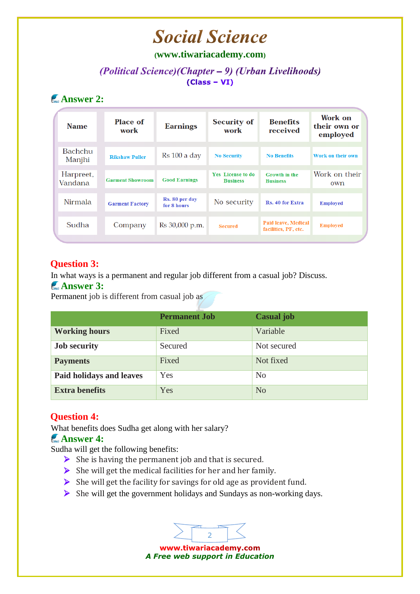# **Social Science**

#### **([www.tiwariacademy.com](http://www.tiwariacademy.com/))**

#### (Political Science)(Chapter – 9) (Urban Livelihoods)  $(Class - VI)$

# **Answer 2:**

| <b>Name</b>          | Place of<br>work        | <b>Earnings</b>               | <b>Security of</b><br>work                  | <b>Benefits</b><br>received                 | Work on<br>their own or<br>employed |
|----------------------|-------------------------|-------------------------------|---------------------------------------------|---------------------------------------------|-------------------------------------|
| Bachchu<br>Manjhi    | <b>Rikshaw Puller</b>   | Rs 100 a day                  | <b>No Security</b>                          | <b>No Benefits</b>                          | Work on their own                   |
| Harpreet,<br>Vandana | <b>Garment Showroom</b> | <b>Good Earnings</b>          | <b>Yes</b> License to do<br><b>Business</b> | Growth in the<br><b>Business</b>            | Work on their<br>own                |
| <b>Nirmala</b>       | <b>Garment Factory</b>  | Rs. 80 per day<br>for 8 hours | No security                                 | Rs. 40 for Extra                            | <b>Employed</b>                     |
| Sudha                | Company                 | Rs 30,000 p.m.                | <b>Secured</b>                              | Paid leave, Medical<br>facilities, PF, etc. | <b>Employed</b>                     |
|                      |                         |                               |                                             |                                             |                                     |

#### **Question 3:**

In what ways is a permanent and regular job different from a casual job? Discuss.

#### **Answer 3:**

Permanent job is different from casual job as

|                          | <b>Permanent Job</b> | <b>Casual</b> job |
|--------------------------|----------------------|-------------------|
| <b>Working hours</b>     | Fixed                | Variable          |
| <b>Job security</b>      | Secured              | Not secured       |
| <b>Payments</b>          | Fixed                | Not fixed         |
| Paid holidays and leaves | Yes                  | N <sub>o</sub>    |
| <b>Extra benefits</b>    | Yes                  | N <sub>o</sub>    |

### **[Question 4:](www.tiwariacademy.com)**

What benefits does Sudha get along with her salary?

#### **Answer 4:**

Sudha will get the following benefits:

- $\triangleright$  She is having the permanent job and that is secured.
- $\triangleright$  She will get the medical facilities for her and her family.
- $\triangleright$  She will get the facility for savings for old age as provident fund.
- $\triangleright$  She will get the government holidays and Sundays as non-working days.

www.tiwariacademy.com *A Free web support in Education*

2